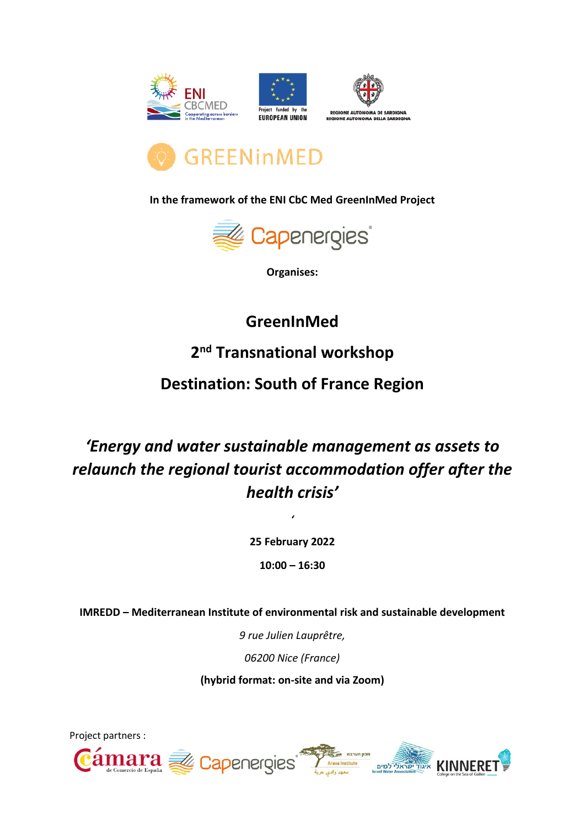







**In the framework of the ENI CbC Med GreenInMed Project**



**Organises:**

## **GreenInMed**

**2 nd Transnational workshop**

### **Destination: South of France Region**

# *'Energy and water sustainable management as assets to relaunch the regional tourist accommodation offer after the health crisis'*

**25 February 2022**

*'*

**10:00 – 16:30**

**IMREDD – Mediterranean Institute of environmental risk and sustainable development**

*9 rue Julien Lauprêtre,* 

*06200 Nice (France)*

**(hybrid format: on-site and via Zoom)**

KINNERET

Project partners :